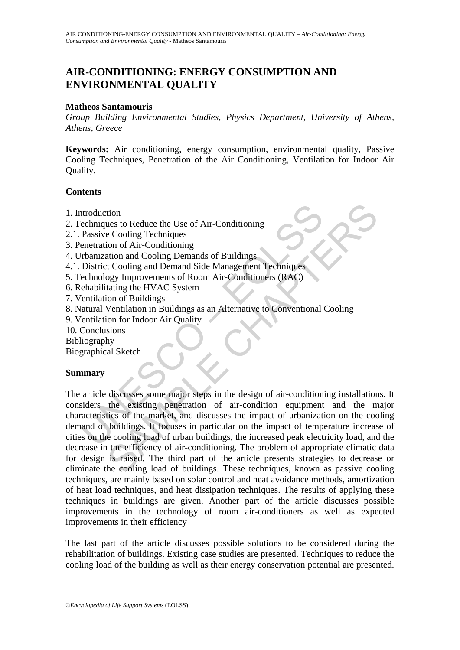# **AIR-CONDITIONING: ENERGY CONSUMPTION AND ENVIRONMENTAL QUALITY**

#### **Matheos Santamouris**

*Group Building Environmental Studies, Physics Department, University of Athens, Athens, Greece* 

**Keywords:** Air conditioning, energy consumption, environmental quality, Passive Cooling Techniques, Penetration of the Air Conditioning, Ventilation for Indoor Air Quality.

### **Contents**

- 1. Introduction
- 2. Techniques to Reduce the Use of Air-Conditioning
- 2.1. Passive Cooling Techniques
- 3. Penetration of Air-Conditioning
- 4. Urbanization and Cooling Demands of Buildings
- 4.1. District Cooling and Demand Side Management Techniques
- 5. Technology Improvements of Room Air-Conditioners (RAC)
- 6. Rehabilitating the HVAC System
- 7. Ventilation of Buildings
- 8. Natural Ventilation in Buildings as an Alternative to Conventional Cooling
- 9. Ventilation for Indoor Air Quality
- 10. Conclusions
- Bibliography

Biographical Sketch

# **Summary**

ntroduction<br>
echniques to Reduce the Use of Air-Conditioning<br>
Passive Cooling Techniques<br>
enertation of Air-Conditioning<br>
relation of Air-Conditioning<br>
relation and Cooling Demands of Buildings<br>
echnology Improvements of R tion<br>
intion<br>
intion<br>
intion and Cooling Techniques<br>
attion and Cooling Demands of Buildings<br>
attion and Cooling Demands of Buildings<br>
extraction of Buildings<br>
inting the HVAC System<br>
interpersent of Room Air-Conditioners The article discusses some major steps in the design of air-conditioning installations. It considers the existing penetration of air-condition equipment and the major characteristics of the market, and discusses the impact of urbanization on the cooling demand of buildings. It focuses in particular on the impact of temperature increase of cities on the cooling load of urban buildings, the increased peak electricity load, and the decrease in the efficiency of air-conditioning. The problem of appropriate climatic data for design is raised. The third part of the article presents strategies to decrease or eliminate the cooling load of buildings. These techniques, known as passive cooling techniques, are mainly based on solar control and heat avoidance methods, amortization of heat load techniques, and heat dissipation techniques. The results of applying these techniques in buildings are given. Another part of the article discusses possible improvements in the technology of room air-conditioners as well as expected improvements in their efficiency

The last part of the article discusses possible solutions to be considered during the rehabilitation of buildings. Existing case studies are presented. Techniques to reduce the cooling load of the building as well as their energy conservation potential are presented.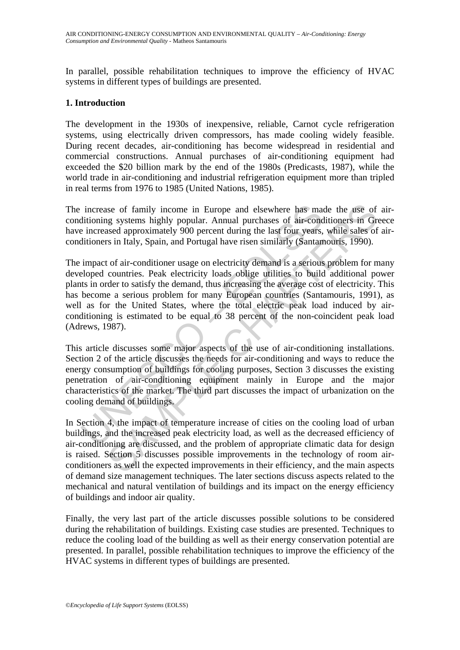In parallel, possible rehabilitation techniques to improve the efficiency of HVAC systems in different types of buildings are presented.

### **1. Introduction**

The development in the 1930s of inexpensive, reliable, Carnot cycle refrigeration systems, using electrically driven compressors, has made cooling widely feasible. During recent decades, air-conditioning has become widespread in residential and commercial constructions. Annual purchases of air-conditioning equipment had exceeded the \$20 billion mark by the end of the 1980s (Predicasts, 1987), while the world trade in air-conditioning and industrial refrigeration equipment more than tripled in real terms from 1976 to 1985 (United Nations, 1985).

The increase of family income in Europe and elsewhere has made the use of airconditioning systems highly popular. Annual purchases of air-conditioners in Greece have increased approximately 900 percent during the last four years, while sales of airconditioners in Italy, Spain, and Portugal have risen similarly (Santamouris, 1990).

increase of family income in Europe and elsewhere has maditioning systems highly popular. Annual purchases of air-conditioning increased approximately 900 percent during the last four years, ditioners in Italy, Spain, and is of family income in Europe and elsewhere has made the use of<br>g systems highly popular. Annual purchases of air-conditioners in Gr<br>ased approximately 900 percent during the last four years, while sales of<br>s in Italy, Spa The impact of air-conditioner usage on electricity demand is a serious problem for many developed countries. Peak electricity loads oblige utilities to build additional power plants in order to satisfy the demand, thus increasing the average cost of electricity. This has become a serious problem for many European countries (Santamouris, 1991), as well as for the United States, where the total electric peak load induced by airconditioning is estimated to be equal to 38 percent of the non-coincident peak load (Adrews, 1987).

This article discusses some major aspects of the use of air-conditioning installations. Section 2 of the article discusses the needs for air-conditioning and ways to reduce the energy consumption of buildings for cooling purposes, Section 3 discusses the existing penetration of air-conditioning equipment mainly in Europe and the major characteristics of the market. The third part discusses the impact of urbanization on the cooling demand of buildings.

In Section 4, the impact of temperature increase of cities on the cooling load of urban buildings, and the increased peak electricity load, as well as the decreased efficiency of air-conditioning are discussed, and the problem of appropriate climatic data for design is raised. Section 5 discusses possible improvements in the technology of room airconditioners as well the expected improvements in their efficiency, and the main aspects of demand size management techniques. The later sections discuss aspects related to the mechanical and natural ventilation of buildings and its impact on the energy efficiency of buildings and indoor air quality.

Finally, the very last part of the article discusses possible solutions to be considered during the rehabilitation of buildings. Existing case studies are presented. Techniques to reduce the cooling load of the building as well as their energy conservation potential are presented. In parallel, possible rehabilitation techniques to improve the efficiency of the HVAC systems in different types of buildings are presented.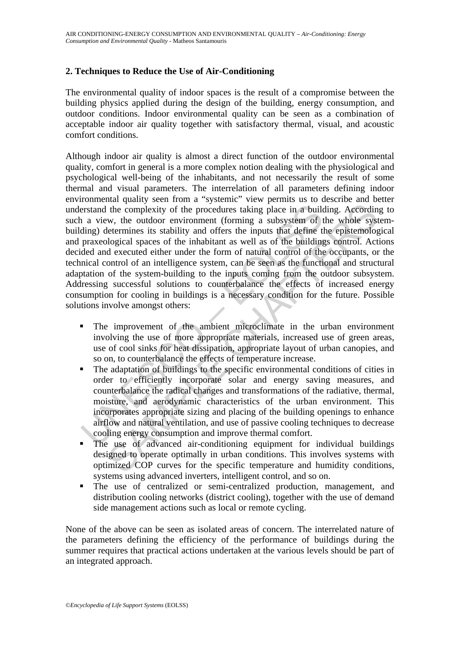# **2. Techniques to Reduce the Use of Air-Conditioning**

The environmental quality of indoor spaces is the result of a compromise between the building physics applied during the design of the building, energy consumption, and outdoor conditions. Indoor environmental quality can be seen as a combination of acceptable indoor air quality together with satisfactory thermal, visual, and acoustic comfort conditions.

extrand the complexity of the procedures taking place in a build<br>
in a view, the outdoor environment (forming a subsystem of thing) determines its stability and offers the inputs that define the praxeological spaces of the the complexity of the procedures taking place in a building. Accordin<br>the complexity of the procedures taking place in a building. Accordin<br>w, the outdoor environment (forming a subsystem of the whole syst<br>eletermines its Although indoor air quality is almost a direct function of the outdoor environmental quality, comfort in general is a more complex notion dealing with the physiological and psychological well-being of the inhabitants, and not necessarily the result of some thermal and visual parameters. The interrelation of all parameters defining indoor environmental quality seen from a "systemic" view permits us to describe and better understand the complexity of the procedures taking place in a building. According to such a view, the outdoor environment (forming a subsystem of the whole systembuilding) determines its stability and offers the inputs that define the epistemological and praxeological spaces of the inhabitant as well as of the buildings control. Actions decided and executed either under the form of natural control of the occupants, or the technical control of an intelligence system, can be seen as the functional and structural adaptation of the system-building to the inputs coming from the outdoor subsystem. Addressing successful solutions to counterbalance the effects of increased energy consumption for cooling in buildings is a necessary condition for the future. Possible solutions involve amongst others:

- The improvement of the ambient microclimate in the urban environment involving the use of more appropriate materials, increased use of green areas, use of cool sinks for heat dissipation, appropriate layout of urban canopies, and so on, to counterbalance the effects of temperature increase.
- The adaptation of buildings to the specific environmental conditions of cities in order to efficiently incorporate solar and energy saving measures, and counterbalance the radical changes and transformations of the radiative, thermal, moisture, and aerodynamic characteristics of the urban environment. This incorporates appropriate sizing and placing of the building openings to enhance airflow and natural ventilation, and use of passive cooling techniques to decrease cooling energy consumption and improve thermal comfort.
- The use of advanced air-conditioning equipment for individual buildings designed to operate optimally in urban conditions. This involves systems with optimized COP curves for the specific temperature and humidity conditions, systems using advanced inverters, intelligent control, and so on.
- The use of centralized or semi-centralized production, management, and distribution cooling networks (district cooling), together with the use of demand side management actions such as local or remote cycling.

None of the above can be seen as isolated areas of concern. The interrelated nature of the parameters defining the efficiency of the performance of buildings during the summer requires that practical actions undertaken at the various levels should be part of an integrated approach.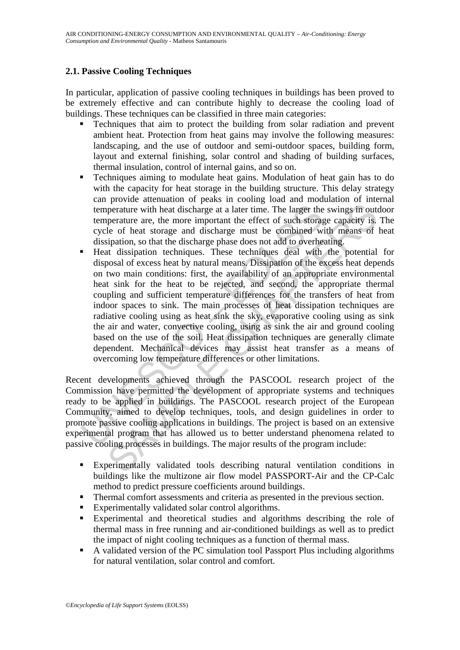# **2.1. Passive Cooling Techniques**

In particular, application of passive cooling techniques in buildings has been proved to be extremely effective and can contribute highly to decrease the cooling load of buildings. These techniques can be classified in three main categories:

- Techniques that aim to protect the building from solar radiation and prevent ambient heat. Protection from heat gains may involve the following measures: landscaping, and the use of outdoor and semi-outdoor spaces, building form, layout and external finishing, solar control and shading of building surfaces, thermal insulation, control of internal gains, and so on.
- Techniques aiming to modulate heat gains. Modulation of heat gain has to do with the capacity for heat storage in the building structure. This delay strategy can provide attenuation of peaks in cooling load and modulation of internal temperature with heat discharge at a later time. The larger the swings in outdoor temperature are, the more important the effect of such storage capacity is. The cycle of heat storage and discharge must be combined with means of heat dissipation, so that the discharge phase does not add to overheating.
- temperature with heat discharge at a later time. The larger the temperature are, the more important the effect of such storage cycle of heat discharge and discharge must be combined we disspiration, so that the discharge p perature with heat discharge at a later time. The larger the swings in out<br>perature with heat discharge at a later time. The larger the swings in out<br>perature are, the more important the effect of such storage capacity is<br> Heat dissipation techniques. These techniques deal with the potential for disposal of excess heat by natural means. Dissipation of the excess heat depends on two main conditions: first, the availability of an appropriate environmental heat sink for the heat to be rejected, and second, the appropriate thermal coupling and sufficient temperature differences for the transfers of heat from indoor spaces to sink. The main processes of heat dissipation techniques are radiative cooling using as heat sink the sky, evaporative cooling using as sink the air and water, convective cooling, using as sink the air and ground cooling based on the use of the soil. Heat dissipation techniques are generally climate dependent. Mechanical devices may assist heat transfer as a means of overcoming low temperature differences or other limitations.

Recent developments achieved through the PASCOOL research project of the Commission have permitted the development of appropriate systems and techniques ready to be applied in buildings. The PASCOOL research project of the European Community, aimed to develop techniques, tools, and design guidelines in order to promote passive cooling applications in buildings. The project is based on an extensive experimental program that has allowed us to better understand phenomena related to passive cooling processes in buildings. The major results of the program include:

- Experimentally validated tools describing natural ventilation conditions in buildings like the multizone air flow model PASSPORT-Air and the CP-Calc method to predict pressure coefficients around buildings.
- **Thermal comfort assessments and criteria as presented in the previous section.**
- Experimentally validated solar control algorithms.
- Experimental and theoretical studies and algorithms describing the role of thermal mass in free running and air-conditioned buildings as well as to predict the impact of night cooling techniques as a function of thermal mass.
- A validated version of the PC simulation tool Passport Plus including algorithms for natural ventilation, solar control and comfort.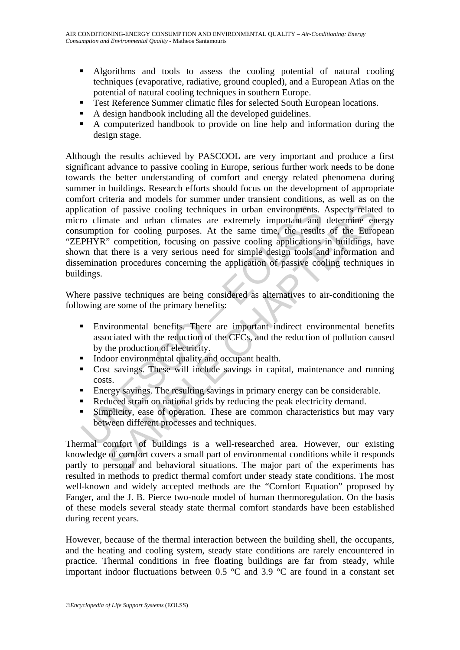- Algorithms and tools to assess the cooling potential of natural cooling techniques (evaporative, radiative, ground coupled), and a European Atlas on the potential of natural cooling techniques in southern Europe.
- Test Reference Summer climatic files for selected South European locations.
- A design handbook including all the developed guidelines.
- A computerized handbook to provide on line help and information during the design stage.

colored profile and urban environments.<br>
So climate and urban climates are extremely important and<br>
sumption for cooling purposes. At the same time, the results<br>
PHYR" competition, focusing on passive cooling applications<br> of passive cooling techniques in urban environments. Aspects relate<br>ante and urban climates are extremely important and determine en<br>m for cooling purposes. At the same time, the small information<br>in coording purposes at t Although the results achieved by PASCOOL are very important and produce a first significant advance to passive cooling in Europe, serious further work needs to be done towards the better understanding of comfort and energy related phenomena during summer in buildings. Research efforts should focus on the development of appropriate comfort criteria and models for summer under transient conditions, as well as on the application of passive cooling techniques in urban environments. Aspects related to micro climate and urban climates are extremely important and determine energy consumption for cooling purposes. At the same time, the results of the European "ZEPHYR" competition, focusing on passive cooling applications in buildings, have shown that there is a very serious need for simple design tools and information and dissemination procedures concerning the application of passive cooling techniques in buildings.

Where passive techniques are being considered as alternatives to air-conditioning the following are some of the primary benefits:

- Environmental benefits. There are important indirect environmental benefits associated with the reduction of the CFCs, and the reduction of pollution caused by the production of electricity.
- Indoor environmental quality and occupant health.
- Cost savings. These will include savings in capital, maintenance and running costs.
- Energy savings. The resulting savings in primary energy can be considerable.
- Reduced strain on national grids by reducing the peak electricity demand.
- Simplicity, ease of operation. These are common characteristics but may vary between different processes and techniques.

Thermal comfort of buildings is a well-researched area. However, our existing knowledge of comfort covers a small part of environmental conditions while it responds partly to personal and behavioral situations. The major part of the experiments has resulted in methods to predict thermal comfort under steady state conditions. The most well-known and widely accepted methods are the "Comfort Equation" proposed by Fanger, and the J. B. Pierce two-node model of human thermoregulation. On the basis of these models several steady state thermal comfort standards have been established during recent years.

However, because of the thermal interaction between the building shell, the occupants, and the heating and cooling system, steady state conditions are rarely encountered in practice. Thermal conditions in free floating buildings are far from steady, while important indoor fluctuations between 0.5  $\degree$ C and 3.9  $\degree$ C are found in a constant set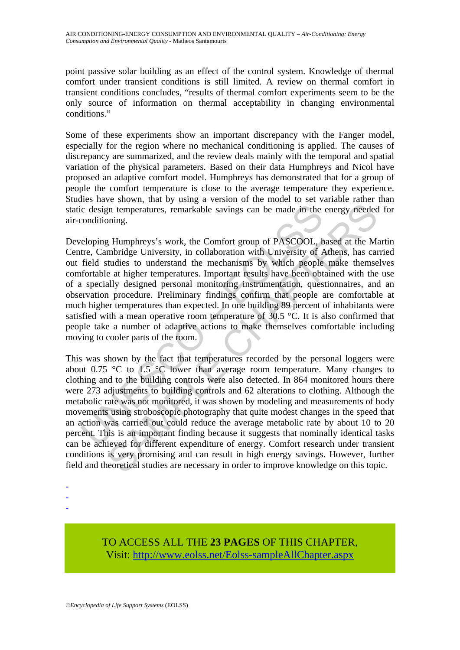point passive solar building as an effect of the control system. Knowledge of thermal comfort under transient conditions is still limited. A review on thermal comfort in transient conditions concludes, "results of thermal comfort experiments seem to be the only source of information on thermal acceptability in changing environmental conditions."

Some of these experiments show an important discrepancy with the Fanger model, especially for the region where no mechanical conditioning is applied. The causes of discrepancy are summarized, and the review deals mainly with the temporal and spatial variation of the physical parameters. Based on their data Humphreys and Nicol have proposed an adaptive comfort model. Humphreys has demonstrated that for a group of people the comfort temperature is close to the average temperature they experience. Studies have shown, that by using a version of the model to set variable rather than static design temperatures, remarkable savings can be made in the energy needed for air-conditioning.

c design temperatures, remarkable savings can be made in the conditioning.<br>
eloping Humphreys's work, the Comfort group of PASCOOL, t<br>
tre, Cambridge University, in collaboration with University of  $\neq$ <br>
field studies to Developing Humphreys's work, the Comfort group of PASCOOL, based at the Martin Centre, Cambridge University, in collaboration with University of Athens, has carried out field studies to understand the mechanisms by which people make themselves comfortable at higher temperatures. Important results have been obtained with the use of a specially designed personal monitoring instrumentation, questionnaires, and an observation procedure. Preliminary findings confirm that people are comfortable at much higher temperatures than expected. In one building 89 percent of inhabitants were satisfied with a mean operative room temperature of 30.5 °C. It is also confirmed that people take a number of adaptive actions to make themselves comfortable including moving to cooler parts of the room.

py temperatures, remarkable savings can be made in the energy needed<br>oning.<br>In temperatures, remarkable savings can be made in the energy needed<br>oning.<br>If Humphreys's work, the Comfort group of PASCOOL, based at the Mis<br>mb This was shown by the fact that temperatures recorded by the personal loggers were about 0.75  $\degree$ C to 1.5  $\degree$ C lower than average room temperature. Many changes to clothing and to the building controls were also detected. In 864 monitored hours there were 273 adjustments to building controls and 62 alterations to clothing. Although the metabolic rate was not monitored, it was shown by modeling and measurements of body movements using stroboscopic photography that quite modest changes in the speed that an action was carried out could reduce the average metabolic rate by about 10 to 20 percent. This is an important finding because it suggests that nominally identical tasks can be achieved for different expenditure of energy. Comfort research under transient conditions is very promising and can result in high energy savings. However, further field and theoretical studies are necessary in order to improve knowledge on this topic.

- -
- -
- -

TO ACCESS ALL THE **23 PAGES** OF THIS CHAPTER, Visi[t: http://www.eolss.net/Eolss-sampleAllChapter.aspx](https://www.eolss.net/ebooklib/sc_cart.aspx?File=E3-17)